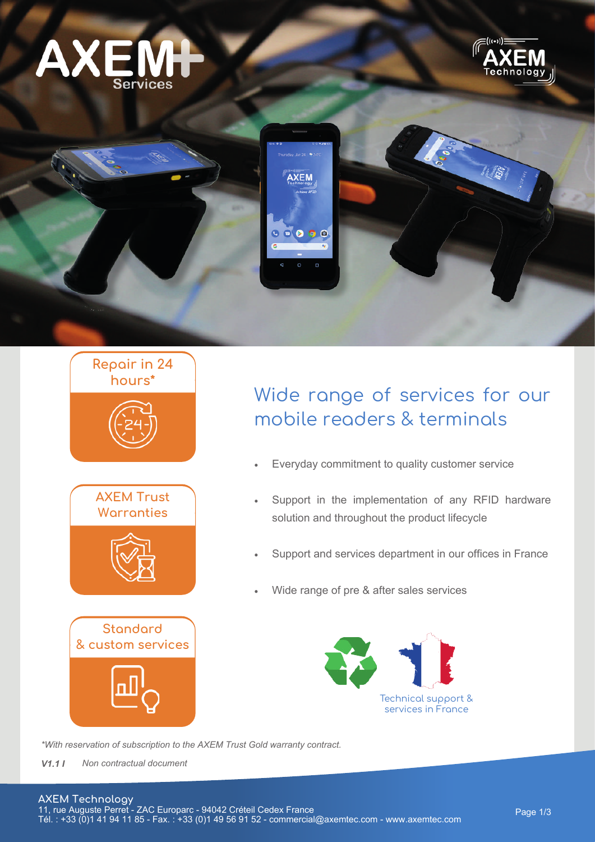





# **Repair in 24 hours\***









# Wide range of services for our mobile readers & terminals

- Everyday commitment to quality customer service
- Support in the implementation of any RFID hardware solution and throughout the product lifecycle
- Support and services department in our offices in France
- Wide range of pre & after sales services



*\*With reservation of subscription to the AXEM Trust Gold warranty contract.*

*V1.1 I Non contractual document*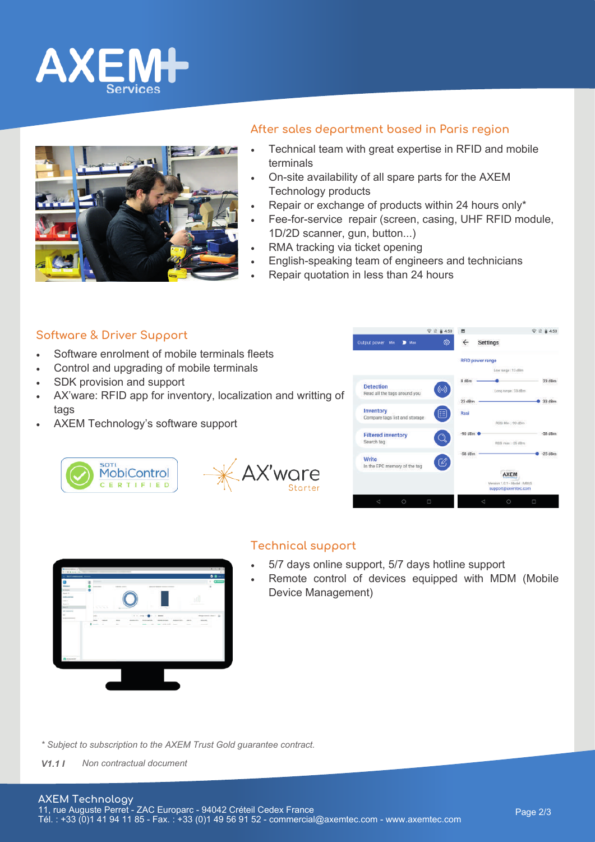



# **After sales department based in Paris region**

- Technical team with great expertise in RFID and mobile terminals
- On-site availability of all spare parts for the AXEM Technology products
- Repair or exchange of products within 24 hours only\*
- Fee-for-service repair (screen, casing, UHF RFID module, 1D/2D scanner, gun, button...)
- RMA tracking via ticket opening
- English-speaking team of engineers and technicians
- Repair quotation in less than 24 hours

#### **Software & Driver Support**

- Software enrolment of mobile terminals fleets
- Control and upgrading of mobile terminals
- SDK provision and support

**SOTI** 

- AX'ware: RFID app for inventory, localization and writting of tags
- AXEM Technology's software support

**MobiControl** 

CERTIFIED





#### **Technical support**

AX'ware

- 5/7 days online support, 5/7 days hotline support
- Remote control of devices equipped with MDM (Mobile Device Management)

*\* Subject to subscription to the AXEM Trust Gold guarantee contract.*

*V1.1 I Non contractual document*